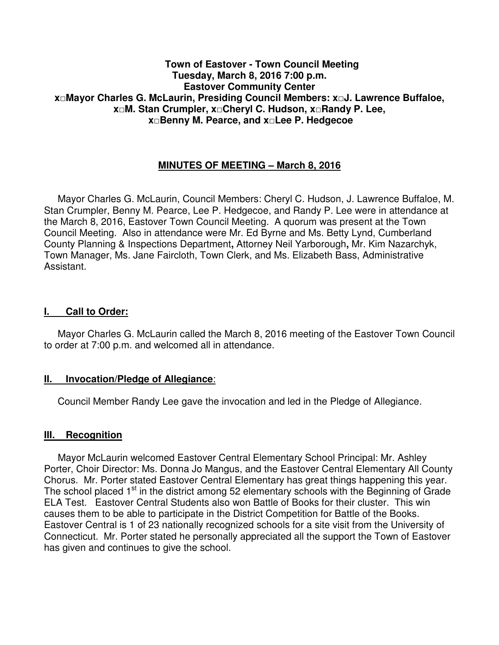## **Town of Eastover - Town Council Meeting Tuesday, March 8, 2016 7:00 p.m. Eastover Community Center x□Mayor Charles G. McLaurin, Presiding Council Members: x□J. Lawrence Buffaloe, x□M. Stan Crumpler, x□Cheryl C. Hudson, x□Randy P. Lee, x□Benny M. Pearce, and x□Lee P. Hedgecoe**

# **MINUTES OF MEETING – March 8, 2016**

 Mayor Charles G. McLaurin, Council Members: Cheryl C. Hudson, J. Lawrence Buffaloe, M. Stan Crumpler, Benny M. Pearce, Lee P. Hedgecoe, and Randy P. Lee were in attendance at the March 8, 2016, Eastover Town Council Meeting. A quorum was present at the Town Council Meeting. Also in attendance were Mr. Ed Byrne and Ms. Betty Lynd, Cumberland County Planning & Inspections Department**,** Attorney Neil Yarborough**,** Mr. Kim Nazarchyk, Town Manager, Ms. Jane Faircloth, Town Clerk, and Ms. Elizabeth Bass, Administrative Assistant.

### **I. Call to Order:**

 Mayor Charles G. McLaurin called the March 8, 2016 meeting of the Eastover Town Council to order at 7:00 p.m. and welcomed all in attendance.

#### **II. Invocation/Pledge of Allegiance**:

Council Member Randy Lee gave the invocation and led in the Pledge of Allegiance.

# **III. Recognition**

 Mayor McLaurin welcomed Eastover Central Elementary School Principal: Mr. Ashley Porter, Choir Director: Ms. Donna Jo Mangus, and the Eastover Central Elementary All County Chorus. Mr. Porter stated Eastover Central Elementary has great things happening this year. The school placed  $1<sup>st</sup>$  in the district among 52 elementary schools with the Beginning of Grade ELA Test. Eastover Central Students also won Battle of Books for their cluster. This win causes them to be able to participate in the District Competition for Battle of the Books. Eastover Central is 1 of 23 nationally recognized schools for a site visit from the University of Connecticut. Mr. Porter stated he personally appreciated all the support the Town of Eastover has given and continues to give the school.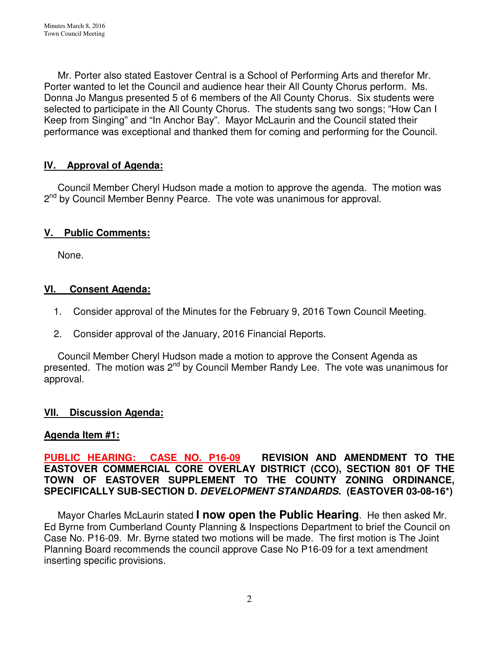Mr. Porter also stated Eastover Central is a School of Performing Arts and therefor Mr. Porter wanted to let the Council and audience hear their All County Chorus perform. Ms. Donna Jo Mangus presented 5 of 6 members of the All County Chorus. Six students were selected to participate in the All County Chorus. The students sang two songs; "How Can I Keep from Singing" and "In Anchor Bay". Mayor McLaurin and the Council stated their performance was exceptional and thanked them for coming and performing for the Council.

# **IV. Approval of Agenda:**

 Council Member Cheryl Hudson made a motion to approve the agenda. The motion was 2<sup>nd</sup> by Council Member Benny Pearce. The vote was unanimous for approval.

# **V. Public Comments:**

None.

# **VI. Consent Agenda:**

- 1. Consider approval of the Minutes for the February 9, 2016 Town Council Meeting.
- 2. Consider approval of the January, 2016 Financial Reports.

 Council Member Cheryl Hudson made a motion to approve the Consent Agenda as presented. The motion was 2nd by Council Member Randy Lee. The vote was unanimous for approval.

# **VII. Discussion Agenda:**

# **Agenda Item #1:**

**PUBLIC HEARING: CASE NO. P16-09 REVISION AND AMENDMENT TO THE EASTOVER COMMERCIAL CORE OVERLAY DISTRICT (CCO), SECTION 801 OF THE TOWN OF EASTOVER SUPPLEMENT TO THE COUNTY ZONING ORDINANCE, SPECIFICALLY SUB-SECTION D. DEVELOPMENT STANDARDS. (EASTOVER 03-08-16\*)** 

 Mayor Charles McLaurin stated **I now open the Public Hearing**. He then asked Mr. Ed Byrne from Cumberland County Planning & Inspections Department to brief the Council on Case No. P16-09. Mr. Byrne stated two motions will be made. The first motion is The Joint Planning Board recommends the council approve Case No P16-09 for a text amendment inserting specific provisions.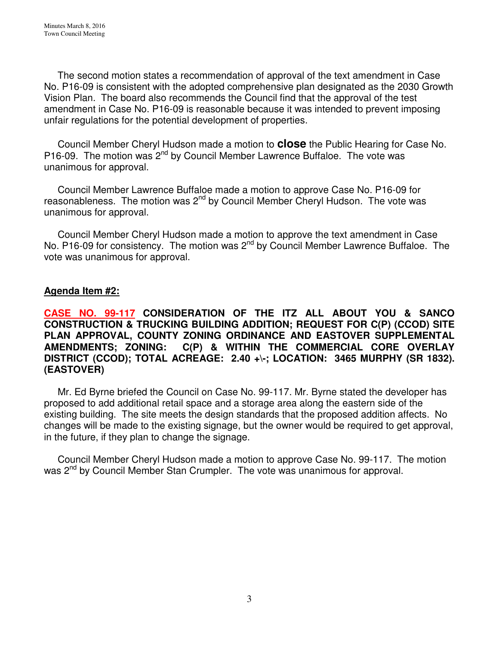The second motion states a recommendation of approval of the text amendment in Case No. P16-09 is consistent with the adopted comprehensive plan designated as the 2030 Growth Vision Plan. The board also recommends the Council find that the approval of the test amendment in Case No. P16-09 is reasonable because it was intended to prevent imposing unfair regulations for the potential development of properties.

 Council Member Cheryl Hudson made a motion to **close** the Public Hearing for Case No. P16-09. The motion was 2<sup>nd</sup> by Council Member Lawrence Buffaloe. The vote was unanimous for approval.

 Council Member Lawrence Buffaloe made a motion to approve Case No. P16-09 for reasonableness. The motion was 2<sup>nd</sup> by Council Member Cheryl Hudson. The vote was unanimous for approval.

 Council Member Cheryl Hudson made a motion to approve the text amendment in Case No. P16-09 for consistency. The motion was 2<sup>nd</sup> by Council Member Lawrence Buffaloe. The vote was unanimous for approval.

# **Agenda Item #2:**

**CASE NO. 99-117 CONSIDERATION OF THE ITZ ALL ABOUT YOU & SANCO CONSTRUCTION & TRUCKING BUILDING ADDITION; REQUEST FOR C(P) (CCOD) SITE PLAN APPROVAL, COUNTY ZONING ORDINANCE AND EASTOVER SUPPLEMENTAL**   $C(P)$  & WITHIN THE COMMERCIAL CORE OVERLAY **DISTRICT (CCOD); TOTAL ACREAGE: 2.40 +\-; LOCATION: 3465 MURPHY (SR 1832). (EASTOVER)** 

Mr. Ed Byrne briefed the Council on Case No. 99-117. Mr. Byrne stated the developer has proposed to add additional retail space and a storage area along the eastern side of the existing building. The site meets the design standards that the proposed addition affects. No changes will be made to the existing signage, but the owner would be required to get approval, in the future, if they plan to change the signage.

 Council Member Cheryl Hudson made a motion to approve Case No. 99-117. The motion was 2<sup>nd</sup> by Council Member Stan Crumpler. The vote was unanimous for approval.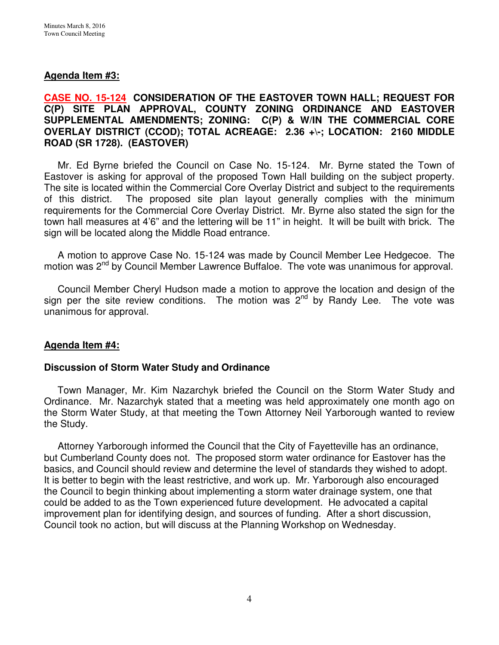# **Agenda Item #3:**

# **CASE NO. 15-124 CONSIDERATION OF THE EASTOVER TOWN HALL; REQUEST FOR C(P) SITE PLAN APPROVAL, COUNTY ZONING ORDINANCE AND EASTOVER SUPPLEMENTAL AMENDMENTS; ZONING: C(P) & W/IN THE COMMERCIAL CORE OVERLAY DISTRICT (CCOD); TOTAL ACREAGE: 2.36 +\-; LOCATION: 2160 MIDDLE ROAD (SR 1728). (EASTOVER)**

 Mr. Ed Byrne briefed the Council on Case No. 15-124. Mr. Byrne stated the Town of Eastover is asking for approval of the proposed Town Hall building on the subject property. The site is located within the Commercial Core Overlay District and subject to the requirements of this district. The proposed site plan layout generally complies with the minimum requirements for the Commercial Core Overlay District. Mr. Byrne also stated the sign for the town hall measures at 4'6" and the lettering will be 11" in height. It will be built with brick. The sign will be located along the Middle Road entrance.

 A motion to approve Case No. 15-124 was made by Council Member Lee Hedgecoe. The motion was 2<sup>nd</sup> by Council Member Lawrence Buffaloe. The vote was unanimous for approval.

 Council Member Cheryl Hudson made a motion to approve the location and design of the sign per the site review conditions. The motion was  $2^{nd}$  by Randy Lee. The vote was unanimous for approval.

# **Agenda Item #4:**

# **Discussion of Storm Water Study and Ordinance**

Town Manager, Mr. Kim Nazarchyk briefed the Council on the Storm Water Study and Ordinance. Mr. Nazarchyk stated that a meeting was held approximately one month ago on the Storm Water Study, at that meeting the Town Attorney Neil Yarborough wanted to review the Study.

 Attorney Yarborough informed the Council that the City of Fayetteville has an ordinance, but Cumberland County does not. The proposed storm water ordinance for Eastover has the basics, and Council should review and determine the level of standards they wished to adopt. It is better to begin with the least restrictive, and work up. Mr. Yarborough also encouraged the Council to begin thinking about implementing a storm water drainage system, one that could be added to as the Town experienced future development. He advocated a capital improvement plan for identifying design, and sources of funding. After a short discussion, Council took no action, but will discuss at the Planning Workshop on Wednesday.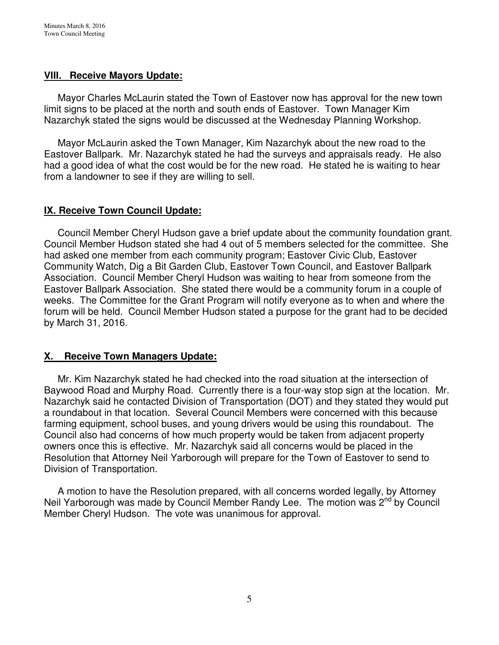## **VIII. Receive Mayors Update:**

Mayor Charles McLaurin stated the Town of Eastover now has approval for the new town limit signs to be placed at the north and south ends of Eastover. Town Manager Kim Nazarchyk stated the signs would be discussed at the Wednesday Planning Workshop.

 Mayor McLaurin asked the Town Manager, Kim Nazarchyk about the new road to the Eastover Ballpark. Mr. Nazarchyk stated he had the surveys and appraisals ready. He also had a good idea of what the cost would be for the new road. He stated he is waiting to hear from a landowner to see if they are willing to sell.

# **IX. Receive Town Council Update:**

Council Member Cheryl Hudson gave a brief update about the community foundation grant. Council Member Hudson stated she had 4 out of 5 members selected for the committee. She had asked one member from each community program; Eastover Civic Club, Eastover Community Watch, Dig a Bit Garden Club, Eastover Town Council, and Eastover Ballpark Association. Council Member Cheryl Hudson was waiting to hear from someone from the Eastover Ballpark Association. She stated there would be a community forum in a couple of weeks. The Committee for the Grant Program will notify everyone as to when and where the forum will be held. Council Member Hudson stated a purpose for the grant had to be decided by March 31, 2016.

# **X. Receive Town Managers Update:**

 Mr. Kim Nazarchyk stated he had checked into the road situation at the intersection of Baywood Road and Murphy Road. Currently there is a four-way stop sign at the location. Mr. Nazarchyk said he contacted Division of Transportation (DOT) and they stated they would put a roundabout in that location. Several Council Members were concerned with this because farming equipment, school buses, and young drivers would be using this roundabout. The Council also had concerns of how much property would be taken from adjacent property owners once this is effective. Mr. Nazarchyk said all concerns would be placed in the Resolution that Attorney Neil Yarborough will prepare for the Town of Eastover to send to Division of Transportation.

 A motion to have the Resolution prepared, with all concerns worded legally, by Attorney Neil Yarborough was made by Council Member Randy Lee. The motion was 2<sup>nd</sup> by Council Member Cheryl Hudson. The vote was unanimous for approval.